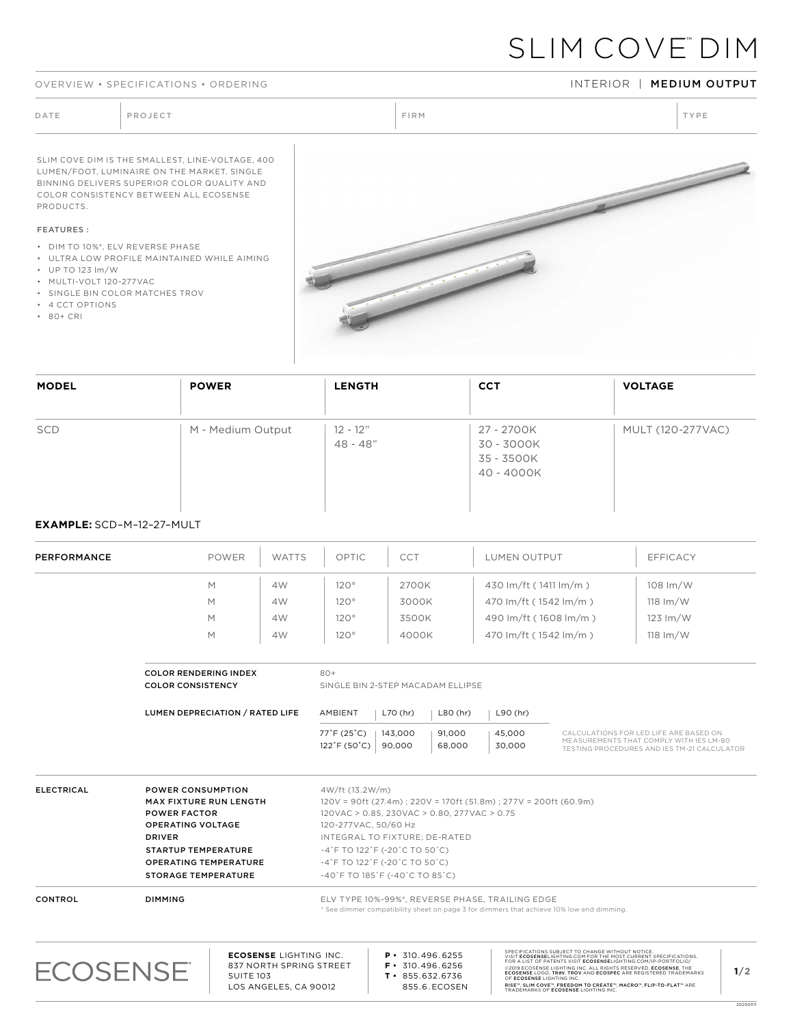#### OVERVIEW • SPECIFICATIONS • ORDERING INTERIOR INTERIOR | MEDIUM OUTPUT

# SLIM COVE™ DIM

DATE PROJECT PROJECT PRODUCT PROJECT PRODUCT PRODUCT PRODUCT PRODUCT PRODUCT PRODUCT PRODUCT PRODUCT PRODUCT PRODUCT PRODUCT PRODUCT PRODUCT PRODUCT PRODUCT PRODUCT PRODUCT PRODUCT PRODUCT PRODUCT PRODUCT PRODUCT PRODUCT P SLIM COVE DIM IS THE SMALLEST, LINE-VOLTAGE, 400 LUMEN/FOOT, LUMINAIRE ON THE MARKET. SINGLE BINNING DELIVERS SUPERIOR COLOR QUALITY AND COLOR CONSISTENCY BETWEEN ALL ECOSENSE PRODUCTS. FEATURES : • DIM TO 10%\*, ELV REVERSE PHASE

- ULTRA LOW PROFILE MAINTAINED WHILE AIMING
- UP TO 123 lm/W
- MULTI-VOLT 120-277VAC
- SINGLE BIN COLOR MATCHES TROV
- 4 CCT OPTIONS
- 80+ CRI



| <b>MODEL</b>           | <b>POWER</b>      | <b>LENGTH</b>            | <b>CCT</b>                                           | <b>VOLTAGE</b>           |
|------------------------|-------------------|--------------------------|------------------------------------------------------|--------------------------|
| $\vert \hspace{0.1cm}$ | $\mathbf{v}$      | $\blacktriangledown$     | $\overline{\phantom{0}}$                             | $\overline{\phantom{0}}$ |
| SCD                    | M - Medium Output | $12 - 12"$<br>$48 - 48"$ | 27 - 2700K<br>30 - 3000K<br>35 - 3500K<br>40 - 4000K | MULT (120-277VAC)        |

### **EXAMPLE:** SCD–M–12–27–MULT

| <b>PERFORMANCE</b> | <b>POWER</b>                                                                                                                                                                                                              | <b>WATTS</b>                  | OPTIC                                                                                                              | CCT                                                                                                                                                       | <b>LUMEN OUTPUT</b>                                                                                                                         |                                                  | <b>EFFICACY</b>                                                                                                                  |
|--------------------|---------------------------------------------------------------------------------------------------------------------------------------------------------------------------------------------------------------------------|-------------------------------|--------------------------------------------------------------------------------------------------------------------|-----------------------------------------------------------------------------------------------------------------------------------------------------------|---------------------------------------------------------------------------------------------------------------------------------------------|--------------------------------------------------|----------------------------------------------------------------------------------------------------------------------------------|
|                    | M                                                                                                                                                                                                                         | 4W                            | 120°                                                                                                               | 2700K                                                                                                                                                     | 430 lm/ft (1411 lm/m)                                                                                                                       |                                                  | 108 lm/W                                                                                                                         |
|                    | M                                                                                                                                                                                                                         | 4W                            | $120^\circ$                                                                                                        | 3000K                                                                                                                                                     | 470 lm/ft (1542 lm/m)                                                                                                                       |                                                  | $118 \, \text{Im}/\text{W}$                                                                                                      |
|                    | M                                                                                                                                                                                                                         | 4W                            | 120°                                                                                                               | 3500K                                                                                                                                                     | 490 lm/ft (1608 lm/m)                                                                                                                       |                                                  | $123 \text{ Im/W}$                                                                                                               |
|                    | M                                                                                                                                                                                                                         | 4W                            | 120°                                                                                                               | 4000K                                                                                                                                                     | 470 lm/ft (1542 lm/m)                                                                                                                       |                                                  | $118 \, \text{Im}/\text{W}$                                                                                                      |
|                    | <b>COLOR RENDERING INDEX</b><br><b>COLOR CONSISTENCY</b>                                                                                                                                                                  |                               | $80+$                                                                                                              | SINGLE BIN 2-STEP MACADAM ELLIPSE                                                                                                                         |                                                                                                                                             |                                                  |                                                                                                                                  |
|                    | LUMEN DEPRECIATION / RATED LIFE                                                                                                                                                                                           |                               | AMBIENT                                                                                                            | L70 (hr)<br>$L80$ (hr)                                                                                                                                    | L90 (hr)                                                                                                                                    |                                                  |                                                                                                                                  |
|                    |                                                                                                                                                                                                                           |                               | 77°F (25°C)<br>$122^{\circ}$ F (50 $^{\circ}$ C)                                                                   | 143,000<br>91,000<br>90,000<br>68,000                                                                                                                     | 45,000<br>30,000                                                                                                                            |                                                  | CALCULATIONS FOR LED LIFE ARE BASED ON<br>MEASUREMENTS THAT COMPLY WITH IES LM-80<br>TESTING PROCEDURES AND IES TM-21 CALCULATOR |
| <b>ELECTRICAL</b>  | <b>POWER CONSUMPTION</b><br><b>MAX FIXTURE RUN LENGTH</b><br><b>POWER FACTOR</b><br><b>OPERATING VOLTAGE</b><br><b>DRIVER</b><br><b>STARTUP TEMPERATURE</b><br><b>OPERATING TEMPERATURE</b><br><b>STORAGE TEMPERATURE</b> |                               | 4W/ft (13.2W/m)<br>120-277VAC, 50/60 Hz<br>$-4$ °F TO 122 °F (-20 °C TO 50 °C)<br>$-4$ °F TO 122°F (-20°C TO 50°C) | 120VAC > 0.85, 230VAC > 0.80, 277VAC > 0.75<br>INTEGRAL TO FIXTURE; DE-RATED<br>$-40^{\circ}$ F TO 185 $^{\circ}$ F (-40 $^{\circ}$ C TO 85 $^{\circ}$ C) | $120V = 90ft (27.4m)$ ; $220V = 170ft (51.8m)$ ; $277V = 200ft (60.9m)$                                                                     |                                                  |                                                                                                                                  |
| CONTROL            | <b>DIMMING</b>                                                                                                                                                                                                            |                               |                                                                                                                    |                                                                                                                                                           | ELV TYPE 10%-99%*, REVERSE PHASE, TRAILING EDGE<br>* See dimmer compatibility sheet on page 3 for dimmers that achieve 10% low end dimming. |                                                  |                                                                                                                                  |
|                    |                                                                                                                                                                                                                           | <b>ECOSENSE LIGHTING INC.</b> |                                                                                                                    | D.310.496.6255                                                                                                                                            |                                                                                                                                             | SPECIFICATIONS SUBJECT TO CHANGE WITHOUT NOTICE. |                                                                                                                                  |



SPECIFICATIONS SUBJECT TO CHANGE WITHOUT NOTICE.<br>VISIT **ECOSENSE**LIGHTING.COM FOR THE MOST CURRENT SPECIFICATIONS.<br>FOR A LIST OF PATENTS VISIT **ECOSENSE**LIGHTING.COM/IP-PORTFOLIO/ ©2019 ECOSENSE LIGHTING INC. ALL RIGHTS RESERVED. **ECOSENSE**, THE<br>**ECOSENSE** LOGO, **TROV, TROV** AND **ECOSPEC** ARE REGISTERED TRADEMARKS<br>OF **ECOSENSE** LIGHTING INC. RISE™, SLIM COVE™, FREEDOM TO CREATE™, MACRO™, FLIP-TO-FLAT™ ARE<br>TRADEMARKS OF **ECOSENSE** LIGHTING INC.

2020051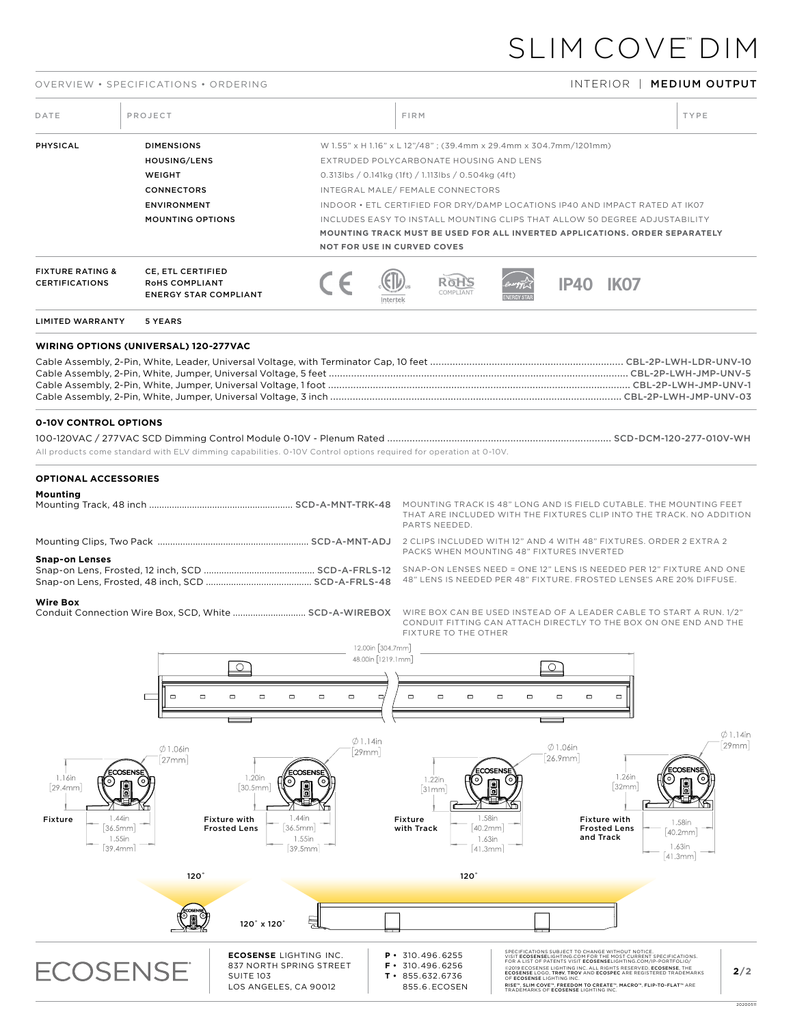## SLIM COVE™ DIM

### OVERVIEW • SPECIFICATIONS • ORDERING INTERIOR | MEDIUM OUTPUT

| DATE                                                      | PROJECT                                                                                                                  |                                                                                                                  |                                                                          | <b>FIRM</b>                                                 |                                                                                                                                      |                                                                                                                                                                                                                                |                                                                  |                                                                                                                                                                                                                                                                                                                                                                                                                 | TYPE                                                                        |                                |
|-----------------------------------------------------------|--------------------------------------------------------------------------------------------------------------------------|------------------------------------------------------------------------------------------------------------------|--------------------------------------------------------------------------|-------------------------------------------------------------|--------------------------------------------------------------------------------------------------------------------------------------|--------------------------------------------------------------------------------------------------------------------------------------------------------------------------------------------------------------------------------|------------------------------------------------------------------|-----------------------------------------------------------------------------------------------------------------------------------------------------------------------------------------------------------------------------------------------------------------------------------------------------------------------------------------------------------------------------------------------------------------|-----------------------------------------------------------------------------|--------------------------------|
| PHYSICAL                                                  | <b>DIMENSIONS</b><br><b>HOUSING/LENS</b><br>WEIGHT<br><b>CONNECTORS</b><br><b>ENVIRONMENT</b><br><b>MOUNTING OPTIONS</b> |                                                                                                                  |                                                                          | <b>NOT FOR USE IN CURVED COVES</b>                          | EXTRUDED POLYCARBONATE HOUSING AND LENS<br>$0.313$ lbs / 0.141kg (1ft) / 1.113lbs / 0.504kg (4ft)<br>INTEGRAL MALE/FEMALE CONNECTORS | W 1.55" x H 1.16" x L 12"/48"; (39.4mm x 29.4mm x 304.7mm/1201mm)<br>INDOOR . ETL CERTIFIED FOR DRY/DAMP LOCATIONS IP40 AND IMPACT RATED AT IK07<br>INCLUDES EASY TO INSTALL MOUNTING CLIPS THAT ALLOW 50 DEGREE ADJUSTABILITY |                                                                  |                                                                                                                                                                                                                                                                                                                                                                                                                 | MOUNTING TRACK MUST BE USED FOR ALL INVERTED APPLICATIONS. ORDER SEPARATELY |                                |
| <b>FIXTURE RATING &amp;</b><br><b>CERTIFICATIONS</b>      | CE, ETL CERTIFIED<br>ROHS COMPLIANT<br><b>ENERGY STAR COMPLIANT</b>                                                      |                                                                                                                  |                                                                          | Intertel                                                    |                                                                                                                                      |                                                                                                                                                                                                                                | <b>IP40</b>                                                      | <b>IK07</b>                                                                                                                                                                                                                                                                                                                                                                                                     |                                                                             |                                |
| LIMITED WARRANTY                                          | 5 YEARS                                                                                                                  |                                                                                                                  |                                                                          |                                                             |                                                                                                                                      |                                                                                                                                                                                                                                |                                                                  |                                                                                                                                                                                                                                                                                                                                                                                                                 |                                                                             |                                |
| WIRING OPTIONS (UNIVERSAL) 120-277VAC                     |                                                                                                                          |                                                                                                                  |                                                                          |                                                             |                                                                                                                                      |                                                                                                                                                                                                                                |                                                                  |                                                                                                                                                                                                                                                                                                                                                                                                                 |                                                                             |                                |
| <b>0-10V CONTROL OPTIONS</b>                              |                                                                                                                          | All products come standard with ELV dimming capabilities. 0-10V Control options required for operation at 0-10V. |                                                                          |                                                             |                                                                                                                                      |                                                                                                                                                                                                                                |                                                                  |                                                                                                                                                                                                                                                                                                                                                                                                                 |                                                                             |                                |
| <b>OPTIONAL ACCESSORIES</b><br>Mounting                   |                                                                                                                          |                                                                                                                  |                                                                          |                                                             | PARTS NEEDED.                                                                                                                        |                                                                                                                                                                                                                                |                                                                  |                                                                                                                                                                                                                                                                                                                                                                                                                 | THAT ARE INCLUDED WITH THE FIXTURES CLIP INTO THE TRACK. NO ADDITION        |                                |
| <b>Snap-on Lenses</b>                                     |                                                                                                                          |                                                                                                                  |                                                                          |                                                             |                                                                                                                                      | PACKS WHEN MOUNTING 48" FIXTURES INVERTED                                                                                                                                                                                      |                                                                  |                                                                                                                                                                                                                                                                                                                                                                                                                 | 48" LENS IS NEEDED PER 48" FIXTURE. FROSTED LENSES ARE 20% DIFFUSE.         |                                |
| <b>Wire Box</b>                                           |                                                                                                                          |                                                                                                                  |                                                                          |                                                             | FIXTURE TO THE OTHER                                                                                                                 |                                                                                                                                                                                                                                |                                                                  |                                                                                                                                                                                                                                                                                                                                                                                                                 | CONDUIT FITTING CAN ATTACH DIRECTLY TO THE BOX ON ONE END AND THE           |                                |
| $1.16$ in                                                 | $\Box$<br>$\Box$<br>$\emptyset$ 1.06in<br>27mm<br>ECOSENSE                                                               | $\circ$<br>$\Box$<br>$\Box$<br>$\Box$<br>1.20in                                                                  | $\qquad \qquad \Box$<br>$\Box$<br>$\emptyset$ 1.14in<br>29mm<br>ECOSENSI | 12.00in [304.7mm]<br>48.00in [1219.1mm]<br>$\Box$<br>$\Box$ | $\Box$<br>$\Box$<br>1.22in                                                                                                           | $\Box$<br>$\Box$<br>:COSENSI                                                                                                                                                                                                   | $\circ$ <sup>-</sup><br>$\Box$<br>$\Box$<br>$Ø1.06$ in<br>26.9mm | $\Box$<br>1.26in                                                                                                                                                                                                                                                                                                                                                                                                | ECOSENSE                                                                    | $\emptyset$ 1.14in<br>$ 29$ mm |
| 29.4mm<br>1.44in<br>Fixture<br>36.5mm<br>1.55in<br>39.4mm | c<br>$120^{\circ}$                                                                                                       | о)<br>30.5mm<br>1.44in<br><b>Fixture with</b><br>36.5mm<br><b>Frosted Lens</b><br>1.55in<br>39.5mm               |                                                                          | Fixture<br>with Track                                       | [31mm]<br>$120^\circ$                                                                                                                | 1.58in<br>40.2mm<br>1.63in<br>41.3mm                                                                                                                                                                                           |                                                                  | 32mm<br>Fixture with<br><b>Frosted Lens</b><br>and Track                                                                                                                                                                                                                                                                                                                                                        | 1.58in<br>40.2mm<br>1.63in<br>$ 41.3$ mm                                    |                                |
|                                                           |                                                                                                                          | 120° x 120°                                                                                                      | 늦                                                                        |                                                             |                                                                                                                                      |                                                                                                                                                                                                                                |                                                                  |                                                                                                                                                                                                                                                                                                                                                                                                                 |                                                                             |                                |
| <b>ECOSENSE</b>                                           |                                                                                                                          | <b>ECOSENSE LIGHTING INC.</b><br>837 NORTH SPRING STREET<br><b>SUITE 103</b><br>LOS ANGELES, CA 90012            |                                                                          | $P \cdot 310.496.6255$<br>F.<br>$T \cdot 855.632.6736$      | 310.496.6256<br>855.6.ECOSEN                                                                                                         | OF ECOSENSE LIGHTING INC.                                                                                                                                                                                                      | TRADEMARKS OF ECOSENSE LIGHTING INC                              | SPECIFICATIONS SUBJECT TO CHANGE WITHOUT NOTICE.<br>VISIT <b>ECOSENSE</b> LIGHTING.COM FOR THE MOST CURRENT SPECIFICATIONS.<br>FOR A LIST OF PATENTS VISIT <b>ECOSENSE</b> LIGHTING.COM/IP-PORTFOLIO/<br>@2019 ECOSENSE LIGHTING INC. ALL RIGHTS RESERVED. ECOSENSE, THE<br>ECOSENSE LOGO, TROV, TROV AND ECOSPEC ARE REGISTERED TRADEMARKS<br>RISE™, SLIM COVE™, FREEDOM TO CREATE™, MACRO™, FLIP-TO-FLAT™ ARE |                                                                             | 2/2                            |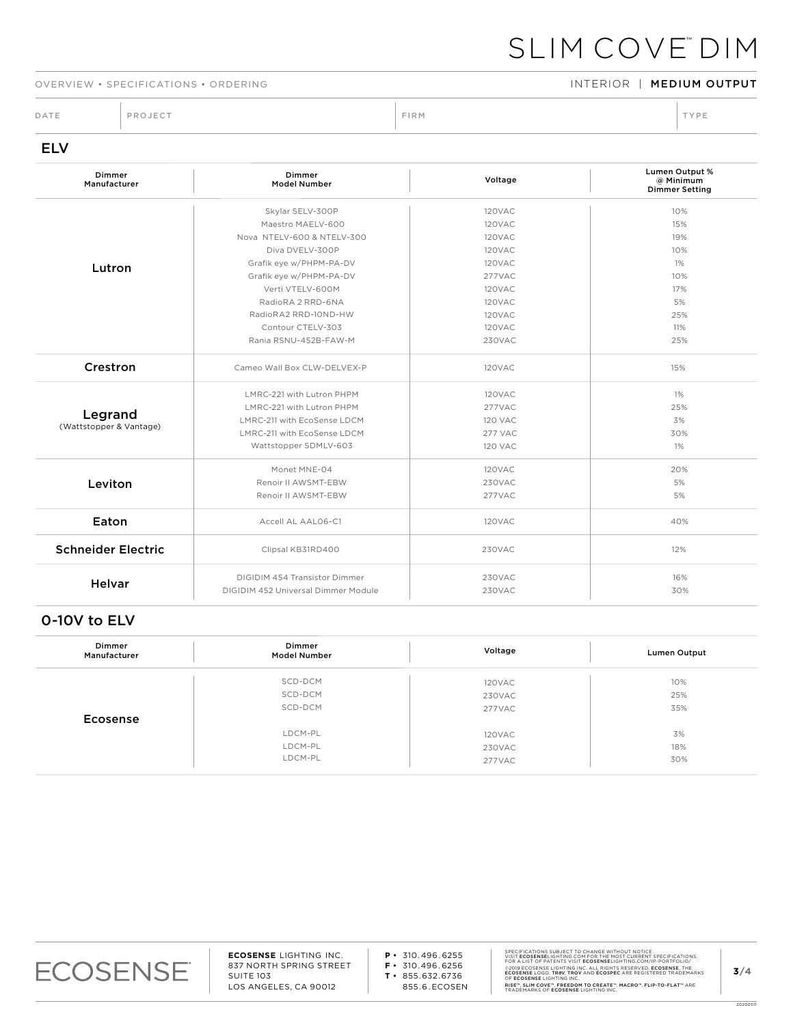## SLIM COVE™ DIM

#### OVERVIEW • SPECIFICATIONS • ORDERING INTERIOR INTERIOR | MEDIUM OUTPUT

DATE PROJECT PROJECT PRODUCT PROJECT PRODUCT PRODUCT PRODUCT PRODUCT PRODUCT PRODUCT PRODUCT PRODUCT PRODUCT PRODUCT PRODUCT PRODUCT PRODUCT PRODUCT PRODUCT PRODUCT PRODUCT PRODUCT PRODUCT PRODUCT PRODUCT PRODUCT PRODUCT P

| Dimmer<br>Manufacturer    | Dimmer<br><b>Model Number</b>       | Voltage        | <b>Lumen Output %</b><br>@ Minimum<br><b>Dimmer Setting</b> |
|---------------------------|-------------------------------------|----------------|-------------------------------------------------------------|
|                           | Skylar SELV-300P                    | 120VAC         | 10%                                                         |
|                           | Maestro MAELV-600                   | <b>120VAC</b>  | 15%                                                         |
|                           | Nova NTELV-600 & NTELV-300          | 120VAC         | 19%                                                         |
|                           | Diva DVELV-300P                     | 120VAC         | 10%                                                         |
| Lutron                    | Grafik eye w/PHPM-PA-DV             | <b>120VAC</b>  | 1%                                                          |
|                           | Grafik eye w/PHPM-PA-DV             | 277VAC         | 10%                                                         |
|                           | Verti VTELV-600M                    | 120VAC         | 17%                                                         |
|                           | RadioRA 2 RRD-6NA                   | 120VAC         | 5%                                                          |
|                           | RadioRA2 RRD-10ND-HW                | 120VAC         | 25%                                                         |
|                           | Contour CTELV-303                   | <b>120VAC</b>  | 11%                                                         |
|                           | Rania RSNU-452B-FAW-M               | 230VAC         | 25%                                                         |
| Crestron                  | Cameo Wall Box CLW-DELVEX-P         | 120VAC         | 15%                                                         |
|                           | LMRC-221 with Lutron PHPM           | 120VAC         | 1%                                                          |
|                           | LMRC-221 with Lutron PHPM           | 277VAC         | 25%                                                         |
| Legrand                   | LMRC-211 with EcoSense LDCM         | <b>120 VAC</b> | 3%                                                          |
| (Wattstopper & Vantage)   | LMRC-211 with EcoSense LDCM         | <b>277 VAC</b> | 30%                                                         |
|                           | Wattstopper SDMLV-603               | 120 VAC        | 1%                                                          |
|                           | Monet MNE-04                        | <b>120VAC</b>  | 20%                                                         |
| Leviton                   | Renoir II AWSMT-EBW                 | <b>230VAC</b>  | 5%                                                          |
|                           | Renoir II AWSMT-EBW                 | 277VAC         | 5%                                                          |
| Eaton                     | Accell AL AAL06-C1                  | 120VAC         | 40%                                                         |
| <b>Schneider Electric</b> | Clipsal KB31RD400                   | 230VAC         | 12%                                                         |
| <b>Helvar</b>             | DIGIDIM 454 Transistor Dimmer       | <b>230VAC</b>  | 16%                                                         |
|                           | DIGIDIM 452 Universal Dimmer Module | <b>230VAC</b>  | 30%                                                         |

### 0-10V to ELV

| Dimmer<br>Manufacturer | Dimmer<br><b>Model Number</b> | Voltage | Lumen Output |
|------------------------|-------------------------------|---------|--------------|
|                        | SCD-DCM                       | 120VAC  | 10%          |
|                        | SCD-DCM                       | 230VAC  | 25%          |
|                        | SCD-DCM                       | 277VAC  | 35%          |
| Ecosense               |                               |         |              |
|                        | LDCM-PL                       | 120VAC  | 3%           |
|                        | LDCM-PL                       | 230VAC  | 18%          |
|                        | LDCM-PL                       | 277VAC  | 30%          |



20200511